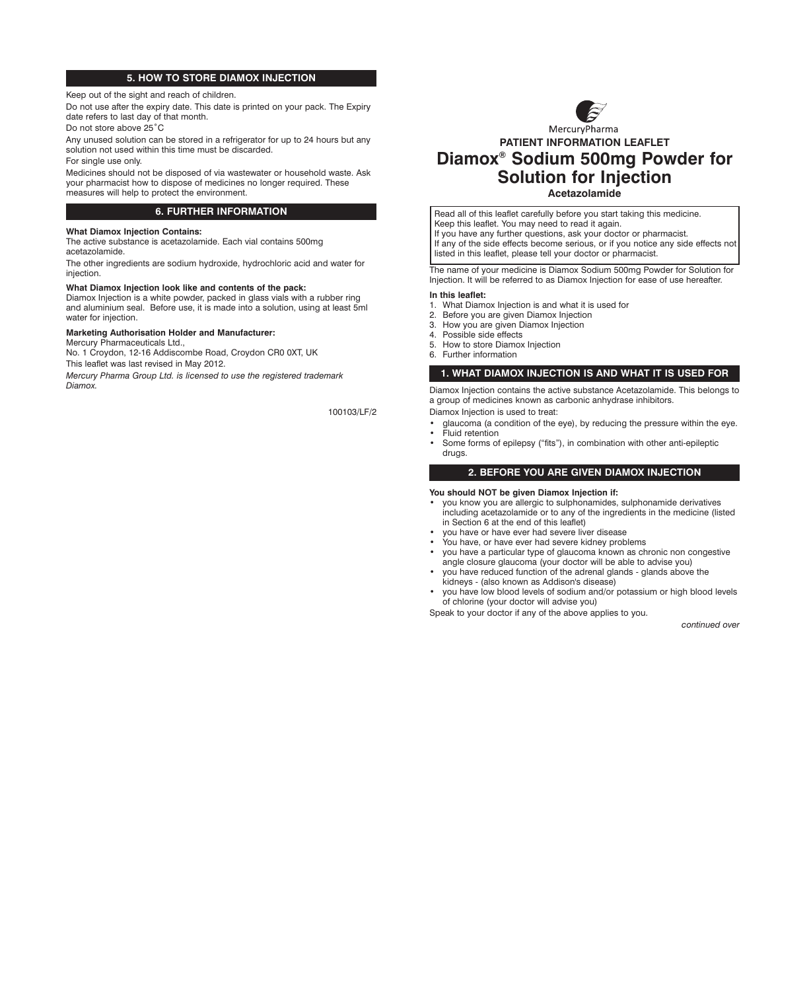## **5. HOW TO STORE DIAMOX INJECTION**

Keep out of the sight and reach of children.

Do not use after the expiry date. This date is printed on your pack. The Expiry date refers to last day of that month.

Do not store above 25˚C

Any unused solution can be stored in a refrigerator for up to 24 hours but any solution not used within this time must be discarded.

#### For single use only.

Medicines should not be disposed of via wastewater or household waste. Ask your pharmacist how to dispose of medicines no longer required. These measures will help to protect the environment.

## **6. FURTHER INFORMATION**

#### **What Diamox Injection Contains:**

The active substance is acetazolamide. Each vial contains 500mg acetazolamide.

The other ingredients are sodium hydroxide, hydrochloric acid and water for injection.

#### **What Diamox Injection look like and contents of the pack:**

Diamox Injection is a white powder, packed in glass vials with a rubber ring and aluminium seal. Before use, it is made into a solution, using at least 5ml water for injection.

#### **Marketing Authorisation Holder and Manufacturer:**

Mercury Pharmaceuticals Ltd.,

No. 1 Croydon, 12-16 Addiscombe Road, Croydon CR0 0XT, UK This leaflet was last revised in May 2012.

*Mercury Pharma Group Ltd. is licensed to use the registered trademark Diamox.*

100103/LF/2



# **Diamox® Sodium 500mg Powder for Solution for Injection**

**Acetazolamide**

Read all of this leaflet carefully before you start taking this medicine. Keep this leaflet. You may need to read it again. If you have any further questions, ask your doctor or pharmacist. If any of the side effects become serious, or if you notice any side effects not

listed in this leaflet, please tell your doctor or pharmacist.

The name of your medicine is Diamox Sodium 500mg Powder for Solution for Injection. It will be referred to as Diamox Injection for ease of use hereafter.

#### **In this leaflet:**

- 1. What Diamox Injection is and what it is used for
- 2. Before you are given Diamox Injection
- 3. How you are given Diamox Injection
- 4. Possible side effects
- 5. How to store Diamox Injection
- 6. Further information

## **1. WHAT DIAMOX INJECTION IS AND WHAT IT IS USED FOR**

Diamox Injection contains the active substance Acetazolamide. This belongs to a group of medicines known as carbonic anhydrase inhibitors.

Diamox Injection is used to treat:

- glaucoma (a condition of the eye), by reducing the pressure within the eye.
- Fluid retention
- Some forms of epilepsy ("fits"), in combination with other anti-epileptic drugs.

# **2. BEFORE YOU ARE GIVEN DIAMOX INJECTION**

#### **You should NOT be given Diamox Injection if:**

- you know you are allergic to sulphonamides, sulphonamide derivatives including acetazolamide or to any of the ingredients in the medicine (listed in Section 6 at the end of this leaflet)
- you have or have ever had severe liver disease
- You have, or have ever had severe kidney problems
- you have a particular type of glaucoma known as chronic non congestive angle closure glaucoma (your doctor will be able to advise you)
- you have reduced function of the adrenal glands glands above the kidneys - (also known as Addison's disease)
- you have low blood levels of sodium and/or potassium or high blood levels of chlorine (your doctor will advise you)

Speak to your doctor if any of the above applies to you.